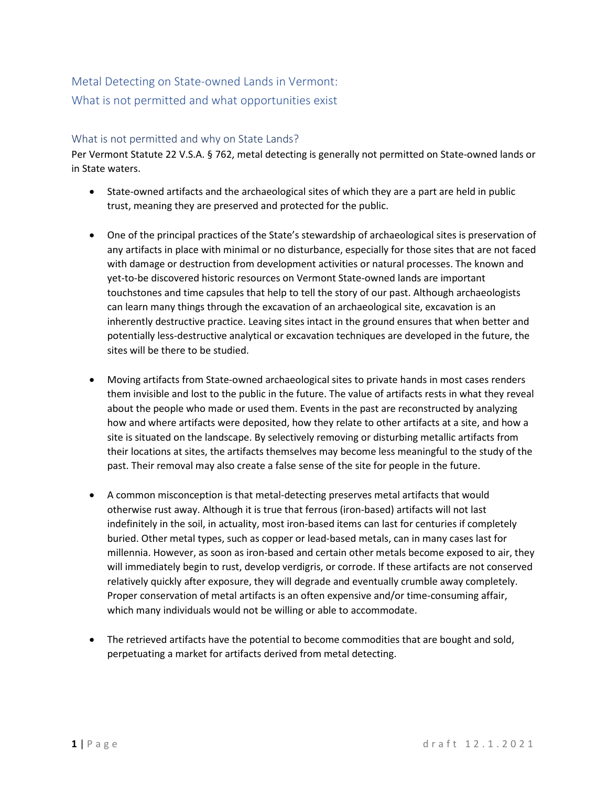# Metal Detecting on State-owned Lands in Vermont: What is not permitted and what opportunities exist

## What is not permitted and why on State Lands?

Per Vermont Statute 22 V.S.A. § 762, metal detecting is generally not permitted on State-owned lands or in State waters.

- State-owned artifacts and the archaeological sites of which they are a part are held in public trust, meaning they are preserved and protected for the public.
- One of the principal practices of the State's stewardship of archaeological sites is preservation of any artifacts in place with minimal or no disturbance, especially for those sites that are not faced with damage or destruction from development activities or natural processes. The known and yet-to-be discovered historic resources on Vermont State-owned lands are important touchstones and time capsules that help to tell the story of our past. Although archaeologists can learn many things through the excavation of an archaeological site, excavation is an inherently destructive practice. Leaving sites intact in the ground ensures that when better and potentially less-destructive analytical or excavation techniques are developed in the future, the sites will be there to be studied.
- Moving artifacts from State-owned archaeological sites to private hands in most cases renders them invisible and lost to the public in the future. The value of artifacts rests in what they reveal about the people who made or used them. Events in the past are reconstructed by analyzing how and where artifacts were deposited, how they relate to other artifacts at a site, and how a site is situated on the landscape. By selectively removing or disturbing metallic artifacts from their locations at sites, the artifacts themselves may become less meaningful to the study of the past. Their removal may also create a false sense of the site for people in the future.
- A common misconception is that metal-detecting preserves metal artifacts that would otherwise rust away. Although it is true that ferrous (iron-based) artifacts will not last indefinitely in the soil, in actuality, most iron-based items can last for centuries if completely buried. Other metal types, such as copper or lead-based metals, can in many cases last for millennia. However, as soon as iron-based and certain other metals become exposed to air, they will immediately begin to rust, develop verdigris, or corrode. If these artifacts are not conserved relatively quickly after exposure, they will degrade and eventually crumble away completely. Proper conservation of metal artifacts is an often expensive and/or time-consuming affair, which many individuals would not be willing or able to accommodate.
- The retrieved artifacts have the potential to become commodities that are bought and sold, perpetuating a market for artifacts derived from metal detecting.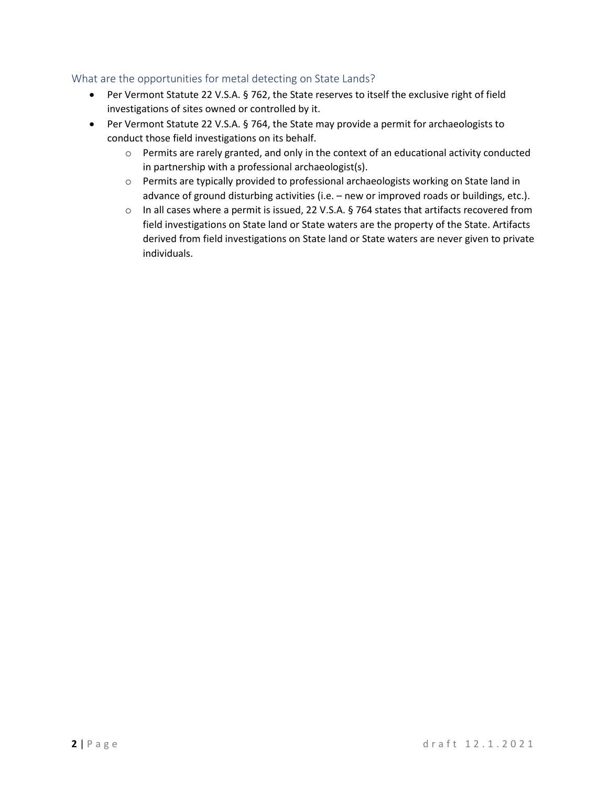## What are the opportunities for metal detecting on State Lands?

- Per Vermont Statute 22 V.S.A. § 762, the State reserves to itself the exclusive right of field investigations of sites owned or controlled by it.
- Per Vermont Statute 22 V.S.A. § 764, the State may provide a permit for archaeologists to conduct those field investigations on its behalf.
	- o Permits are rarely granted, and only in the context of an educational activity conducted in partnership with a professional archaeologist(s).
	- o Permits are typically provided to professional archaeologists working on State land in advance of ground disturbing activities (i.e. – new or improved roads or buildings, etc.).
	- o In all cases where a permit is issued, 22 V.S.A. § 764 states that artifacts recovered from field investigations on State land or State waters are the property of the State. Artifacts derived from field investigations on State land or State waters are never given to private individuals.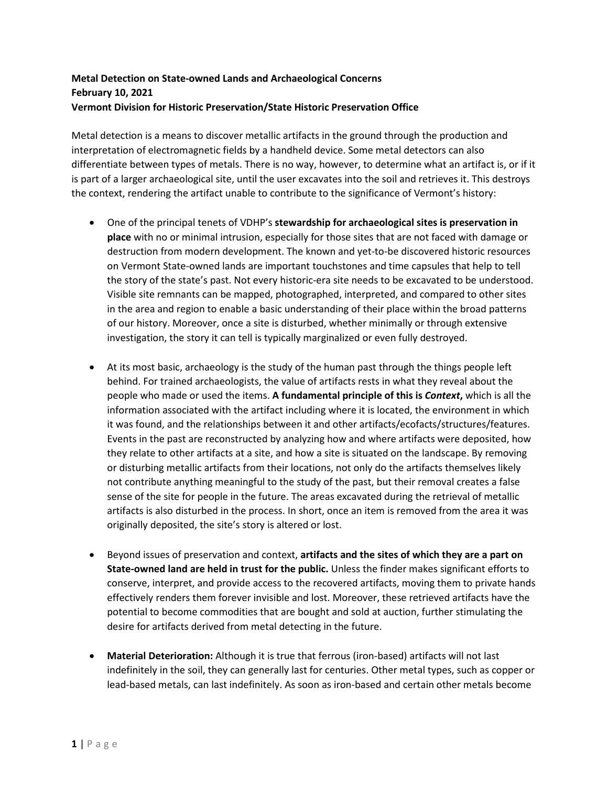# **Metal Detection on State-owned Lands and Archaeological Concerns February 10, 2021 Vermont Division for Historic Preservation/State Historic Preservation Office**

Metal detection is a means to discover metallic artifacts in the ground through the production and interpretation of electromagnetic fields by a handheld device. Some metal detectors can also differentiate between types of metals. There is no way, however, to determine what an artifact is, or if it is part of a larger archaeological site, until the user excavates into the soil and retrieves it. This destroys the context, rendering the artifact unable to contribute to the significance of Vermont's history:

- One of the principal tenets of VDHP's **stewardship for archaeological sites is preservation in place** with no or minimal intrusion, especially for those sites that are not faced with damage or destruction from modern development. The known and yet-to-be discovered historic resources on Vermont State-owned lands are important touchstones and time capsules that help to tell the story of the state's past. Not every historic-era site needs to be excavated to be understood. Visible site remnants can be mapped, photographed, interpreted, and compared to other sites in the area and region to enable a basic understanding of their place within the broad patterns of our history. Moreover, once a site is disturbed, whether minimally or through extensive investigation, the story it can tell is typically marginalized or even fully destroyed.
- At its most basic, archaeology is the study of the human past through the things people left behind. For trained archaeologists, the value of artifacts rests in what they reveal about the people who made or used the items. **A fundamental principle of this is** *Context***,** which is all the information associated with the artifact including where it is located, the environment in which it was found, and the relationships between it and other artifacts/ecofacts/structures/features. Events in the past are reconstructed by analyzing how and where artifacts were deposited, how they relate to other artifacts at a site, and how a site is situated on the landscape. By removing or disturbing metallic artifacts from their locations, not only do the artifacts themselves likely not contribute anything meaningful to the study of the past, but their removal creates a false sense of the site for people in the future. The areas excavated during the retrieval of metallic artifacts is also disturbed in the process. In short, once an item is removed from the area it was originally deposited, the site's story is altered or lost.
- Beyond issues of preservation and context, **artifacts and the sites of which they are a part on State-owned land are held in trust for the public.** Unless the finder makes significant efforts to conserve, interpret, and provide access to the recovered artifacts, moving them to private hands effectively renders them forever invisible and lost. Moreover, these retrieved artifacts have the potential to become commodities that are bought and sold at auction, further stimulating the desire for artifacts derived from metal detecting in the future.
- **Material Deterioration:** Although it is true that ferrous (iron-based) artifacts will not last indefinitely in the soil, they can generally last for centuries. Other metal types, such as copper or lead-based metals, can last indefinitely. As soon as iron-based and certain other metals become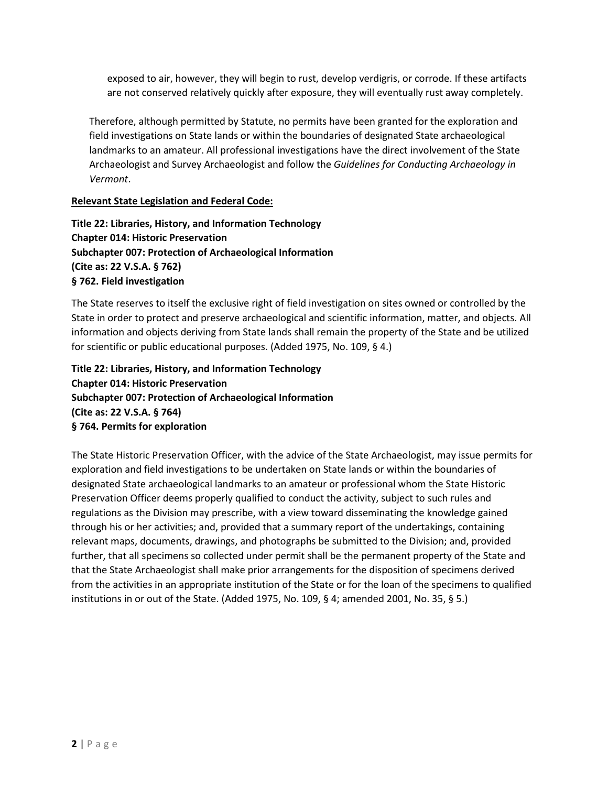exposed to air, however, they will begin to rust, develop verdigris, or corrode. If these artifacts are not conserved relatively quickly after exposure, they will eventually rust away completely.

Therefore, although permitted by Statute, no permits have been granted for the exploration and field investigations on State lands or within the boundaries of designated State archaeological landmarks to an amateur. All professional investigations have the direct involvement of the State Archaeologist and Survey Archaeologist and follow the *Guidelines for Conducting Archaeology in Vermont*.

#### **Relevant State Legislation and Federal Code:**

**Title 22: Libraries, History, and Information Technology Chapter 014: Historic Preservation Subchapter 007: Protection of Archaeological Information (Cite as: 22 V.S.A. § 762) § 762. Field investigation**

The State reserves to itself the exclusive right of field investigation on sites owned or controlled by the State in order to protect and preserve archaeological and scientific information, matter, and objects. All information and objects deriving from State lands shall remain the property of the State and be utilized for scientific or public educational purposes. (Added 1975, No. 109, § 4.)

**Title 22: Libraries, History, and Information Technology Chapter 014: Historic Preservation Subchapter 007: Protection of Archaeological Information (Cite as: 22 V.S.A. § 764) § 764. Permits for exploration**

The State Historic Preservation Officer, with the advice of the State Archaeologist, may issue permits for exploration and field investigations to be undertaken on State lands or within the boundaries of designated State archaeological landmarks to an amateur or professional whom the State Historic Preservation Officer deems properly qualified to conduct the activity, subject to such rules and regulations as the Division may prescribe, with a view toward disseminating the knowledge gained through his or her activities; and, provided that a summary report of the undertakings, containing relevant maps, documents, drawings, and photographs be submitted to the Division; and, provided further, that all specimens so collected under permit shall be the permanent property of the State and that the State Archaeologist shall make prior arrangements for the disposition of specimens derived from the activities in an appropriate institution of the State or for the loan of the specimens to qualified institutions in or out of the State. (Added 1975, No. 109, § 4; amended 2001, No. 35, § 5.)